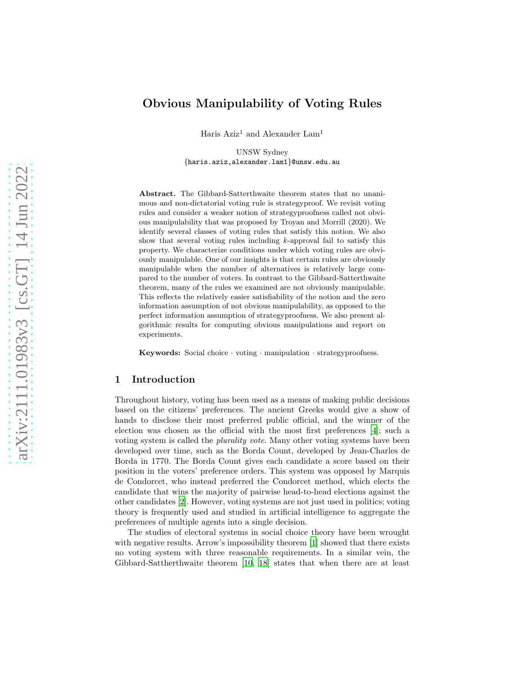# Obvious Manipulability of Voting Rules

Haris  $Aziz<sup>1</sup>$  and Alexander  $Lam<sup>1</sup>$ 

UNSW Sydney {haris.aziz,alexander.lam1}@unsw.edu.au

Abstract. The Gibbard-Satterthwaite theorem states that no unanimous and non-dictatorial voting rule is strategyproof. We revisit voting rules and consider a weaker notion of strategyproofness called not obvious manipulability that was proposed by Troyan and Morrill (2020). We identify several classes of voting rules that satisfy this notion. We also show that several voting rules including  $k$ -approval fail to satisfy this property. We characterize conditions under which voting rules are obviously manipulable. One of our insights is that certain rules are obviously manipulable when the number of alternatives is relatively large compared to the number of voters. In contrast to the Gibbard-Satterthwaite theorem, many of the rules we examined are not obviously manipulable. This reflects the relatively easier satisfiability of the notion and the zero information assumption of not obvious manipulability, as opposed to the perfect information assumption of strategyproofness. We also present algorithmic results for computing obvious manipulations and report on experiments.

Keywords: Social choice · voting · manipulation · strategyproofness.

# 1 Introduction

Throughout history, voting has been used as a means of making public decisions based on the citizens' preferences. The ancient Greeks would give a show of hands to disclose their most preferred public official, and the winner of the election was chosen as the official with the most first preferences [\[4\]](#page-14-0); such a voting system is called the plurality vote. Many other voting systems have been developed over time, such as the Borda Count, developed by Jean-Charles de Borda in 1770. The Borda Count gives each candidate a score based on their position in the voters' preference orders. This system was opposed by Marquis de Condorcet, who instead preferred the Condorcet method, which elects the candidate that wins the majority of pairwise head-to-head elections against the other candidates [\[2](#page-14-1)]. However, voting systems are not just used in politics; voting theory is frequently used and studied in artificial intelligence to aggregate the preferences of multiple agents into a single decision.

The studies of electoral systems in social choice theory have been wrought with negative results. Arrow's impossibility theorem [\[1\]](#page-14-2) showed that there exists no voting system with three reasonable requirements. In a similar vein, the Gibbard-Sattherthwaite theorem [\[10](#page-14-3), [18\]](#page-14-4) states that when there are at least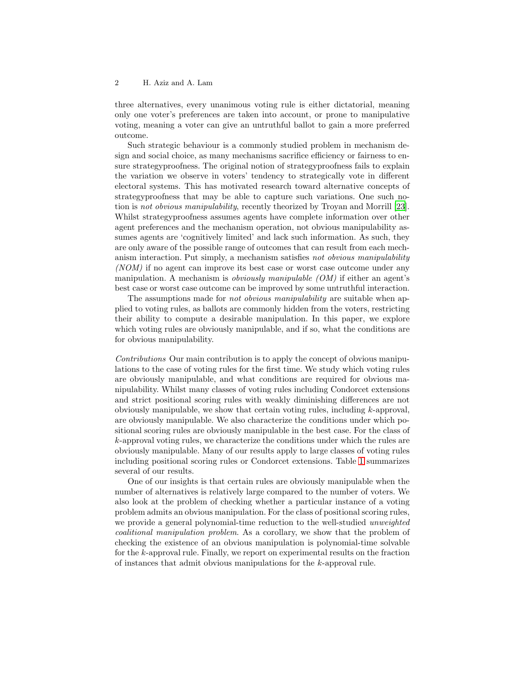three alternatives, every unanimous voting rule is either dictatorial, meaning only one voter's preferences are taken into account, or prone to manipulative voting, meaning a voter can give an untruthful ballot to gain a more preferred outcome.

Such strategic behaviour is a commonly studied problem in mechanism design and social choice, as many mechanisms sacrifice efficiency or fairness to ensure strategyproofness. The original notion of strategyproofness fails to explain the variation we observe in voters' tendency to strategically vote in different electoral systems. This has motivated research toward alternative concepts of strategyproofness that may be able to capture such variations. One such notion is not obvious manipulability, recently theorized by Troyan and Morrill [\[23](#page-15-0)]. Whilst strategyproofness assumes agents have complete information over other agent preferences and the mechanism operation, not obvious manipulability assumes agents are 'cognitively limited' and lack such information. As such, they are only aware of the possible range of outcomes that can result from each mechanism interaction. Put simply, a mechanism satisfies not obvious manipulability (NOM) if no agent can improve its best case or worst case outcome under any manipulation. A mechanism is *obviously manipulable*  $(OM)$  if either an agent's best case or worst case outcome can be improved by some untruthful interaction.

The assumptions made for *not obvious manipulability* are suitable when applied to voting rules, as ballots are commonly hidden from the voters, restricting their ability to compute a desirable manipulation. In this paper, we explore which voting rules are obviously manipulable, and if so, what the conditions are for obvious manipulability.

Contributions Our main contribution is to apply the concept of obvious manipulations to the case of voting rules for the first time. We study which voting rules are obviously manipulable, and what conditions are required for obvious manipulability. Whilst many classes of voting rules including Condorcet extensions and strict positional scoring rules with weakly diminishing differences are not obviously manipulable, we show that certain voting rules, including k-approval, are obviously manipulable. We also characterize the conditions under which positional scoring rules are obviously manipulable in the best case. For the class of k-approval voting rules, we characterize the conditions under which the rules are obviously manipulable. Many of our results apply to large classes of voting rules including positional scoring rules or Condorcet extensions. Table [1](#page-2-0) summarizes several of our results.

One of our insights is that certain rules are obviously manipulable when the number of alternatives is relatively large compared to the number of voters. We also look at the problem of checking whether a particular instance of a voting problem admits an obvious manipulation. For the class of positional scoring rules, we provide a general polynomial-time reduction to the well-studied unweighted coalitional manipulation problem. As a corollary, we show that the problem of checking the existence of an obvious manipulation is polynomial-time solvable for the k-approval rule. Finally, we report on experimental results on the fraction of instances that admit obvious manipulations for the k-approval rule.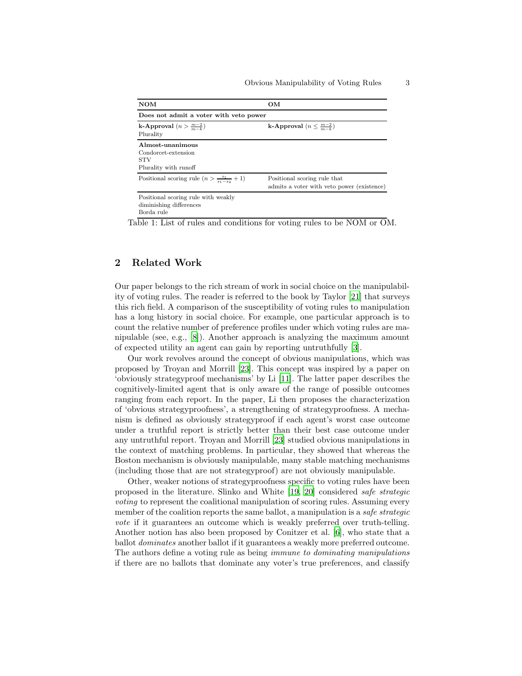<span id="page-2-0"></span>

| <b>NOM</b>                                                                     | OМ                                                                         |  |  |  |  |  |  |  |
|--------------------------------------------------------------------------------|----------------------------------------------------------------------------|--|--|--|--|--|--|--|
| Does not admit a voter with veto power                                         |                                                                            |  |  |  |  |  |  |  |
| <b>k-Approval</b> $(n > \frac{m-2}{m-k})$<br>Plurality                         | <b>k-Approval</b> $(n \leq \frac{m-2}{m-k})$                               |  |  |  |  |  |  |  |
| Almost-unanimous<br>Condorcet-extension<br><b>STV</b><br>Plurality with runoff |                                                                            |  |  |  |  |  |  |  |
| Positional scoring rule $(n > \frac{s_1}{s_1 - s_2} + 1)$                      | Positional scoring rule that<br>admits a voter with veto power (existence) |  |  |  |  |  |  |  |
| Positional scoring rule with weakly<br>diminishing differences<br>Borda rule   |                                                                            |  |  |  |  |  |  |  |

Table 1: List of rules and conditions for voting rules to be NOM or OM.

# 2 Related Work

Our paper belongs to the rich stream of work in social choice on the manipulability of voting rules. The reader is referred to the book by Taylor [\[21\]](#page-15-1) that surveys this rich field. A comparison of the susceptibility of voting rules to manipulation has a long history in social choice. For example, one particular approach is to count the relative number of preference profiles under which voting rules are manipulable (see, e.g., [\[8\]](#page-14-5)). Another approach is analyzing the maximum amount of expected utility an agent can gain by reporting untruthfully [\[3](#page-14-6)].

Our work revolves around the concept of obvious manipulations, which was proposed by Troyan and Morrill [\[23](#page-15-0)]. This concept was inspired by a paper on 'obviously strategyproof mechanisms' by Li [\[11\]](#page-14-7). The latter paper describes the cognitively-limited agent that is only aware of the range of possible outcomes ranging from each report. In the paper, Li then proposes the characterization of 'obvious strategyproofness', a strengthening of strategyproofness. A mechanism is defined as obviously strategyproof if each agent's worst case outcome under a truthful report is strictly better than their best case outcome under any untruthful report. Troyan and Morrill [\[23\]](#page-15-0) studied obvious manipulations in the context of matching problems. In particular, they showed that whereas the Boston mechanism is obviously manipulable, many stable matching mechanisms (including those that are not strategyproof) are not obviously manipulable.

Other, weaker notions of strategyproofness specific to voting rules have been proposed in the literature. Slinko and White [\[19,](#page-14-8) [20](#page-14-9)] considered safe strategic voting to represent the coalitional manipulation of scoring rules. Assuming every member of the coalition reports the same ballot, a manipulation is a *safe strategic* vote if it guarantees an outcome which is weakly preferred over truth-telling. Another notion has also been proposed by Conitzer et al. [\[6\]](#page-14-10), who state that a ballot dominates another ballot if it guarantees a weakly more preferred outcome. The authors define a voting rule as being immune to dominating manipulations if there are no ballots that dominate any voter's true preferences, and classify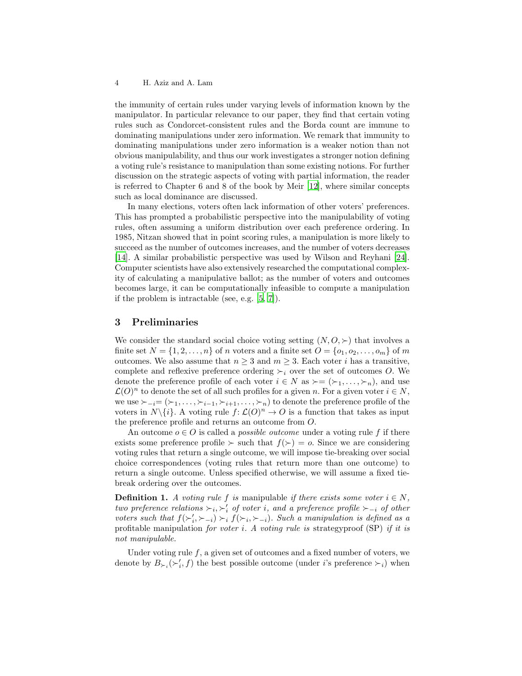the immunity of certain rules under varying levels of information known by the manipulator. In particular relevance to our paper, they find that certain voting rules such as Condorcet-consistent rules and the Borda count are immune to dominating manipulations under zero information. We remark that immunity to dominating manipulations under zero information is a weaker notion than not obvious manipulability, and thus our work investigates a stronger notion defining a voting rule's resistance to manipulation than some existing notions. For further discussion on the strategic aspects of voting with partial information, the reader is referred to Chapter 6 and 8 of the book by Meir [\[12\]](#page-14-11), where similar concepts such as local dominance are discussed.

In many elections, voters often lack information of other voters' preferences. This has prompted a probabilistic perspective into the manipulability of voting rules, often assuming a uniform distribution over each preference ordering. In 1985, Nitzan showed that in point scoring rules, a manipulation is more likely to succeed as the number of outcomes increases, and the number of voters decreases [\[14\]](#page-14-12). A similar probabilistic perspective was used by Wilson and Reyhani [\[24](#page-15-2)]. Computer scientists have also extensively researched the computational complexity of calculating a manipulative ballot; as the number of voters and outcomes becomes large, it can be computationally infeasible to compute a manipulation if the problem is intractable (see, e.g. [\[5,](#page-14-13) [7\]](#page-14-14)).

### 3 Preliminaries

We consider the standard social choice voting setting  $(N, O, \succ)$  that involves a finite set  $N = \{1, 2, \ldots, n\}$  of n voters and a finite set  $O = \{o_1, o_2, \ldots, o_m\}$  of m outcomes. We also assume that  $n \geq 3$  and  $m \geq 3$ . Each voter *i* has a transitive, complete and reflexive preference ordering  $\succ_i$  over the set of outcomes O. We denote the preference profile of each voter  $i \in N$  as  $\succ = (\succ_1, \ldots, \succ_n)$ , and use  $\mathcal{L}(O)^n$  to denote the set of all such profiles for a given n. For a given voter  $i \in N$ , we use  $\succ_{-i}=(\succ_1,\ldots,\succ_{i-1},\succ_{i+1},\ldots,\succ_n)$  to denote the preference profile of the voters in  $N\setminus\{i\}$ . A voting rule  $f: \mathcal{L}(O)^n \to O$  is a function that takes as input the preference profile and returns an outcome from O.

An outcome  $o \in O$  is called a *possible outcome* under a voting rule f if there exists some preference profile ≻ such that  $f(\succ) = o$ . Since we are considering voting rules that return a single outcome, we will impose tie-breaking over social choice correspondences (voting rules that return more than one outcome) to return a single outcome. Unless specified otherwise, we will assume a fixed tiebreak ordering over the outcomes.

**Definition 1.** A voting rule f is manipulable if there exists some voter  $i \in N$ , two preference relations  $\succ_i, \succ'_i$  of voter i, and a preference profile  $\succ_{-i}$  of other voters such that  $f(\succ_i', \succ_{-i}) \succ_i f(\succ_i, \succ_{-i})$ . Such a manipulation is defined as a profitable manipulation for voter i. A voting rule is strategyproof (SP) if it is not manipulable.

Under voting rule  $f$ , a given set of outcomes and a fixed number of voters, we denote by  $B_{\succ_i}(\succ'_i, f)$  the best possible outcome (under *i*'s preference  $\succ_i$ ) when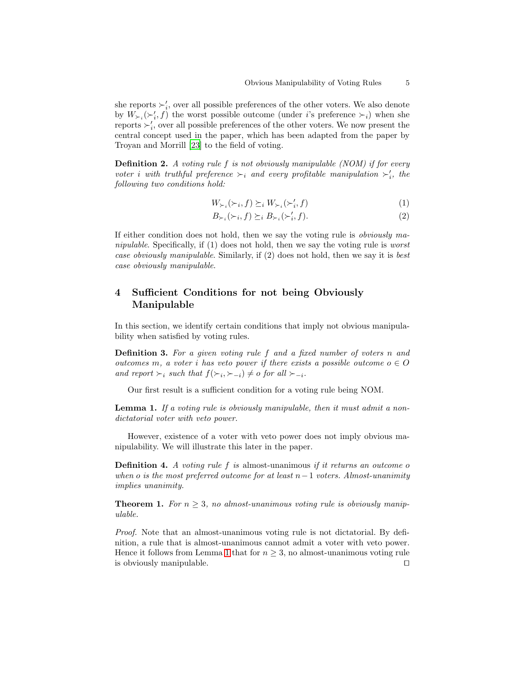she reports  $\succ'_i$ , over all possible preferences of the other voters. We also denote by  $W_{\succ_i}(\succ'_i, f)$  the worst possible outcome (under *i*'s preference  $\succ_i$ ) when she reports  $\succ'_{i}$ , over all possible preferences of the other voters. We now present the central concept used in the paper, which has been adapted from the paper by Troyan and Morrill [\[23](#page-15-0)] to the field of voting.

**Definition 2.** A voting rule  $f$  is not obviously manipulable (NOM) if for every voter i with truthful preference  $\succ_i$  and every profitable manipulation  $\succ'_i$ , the following two conditions hold:

$$
W_{\succ_i}(\succ_i, f) \succeq_i W_{\succ_i}(\succ'_i, f) \tag{1}
$$

$$
B_{\succ_i}(\succ_i, f) \succeq_i B_{\succ_i}(\succ'_i, f). \tag{2}
$$

If either condition does not hold, then we say the voting rule is obviously manipulable. Specifically, if  $(1)$  does not hold, then we say the voting rule is *worst* case obviously manipulable. Similarly, if (2) does not hold, then we say it is best case obviously manipulable.

# 4 Sufficient Conditions for not being Obviously Manipulable

In this section, we identify certain conditions that imply not obvious manipulability when satisfied by voting rules.

Definition 3. For a given voting rule f and a fixed number of voters n and outcomes m, a voter i has veto power if there exists a possible outcome  $o \in O$ and report  $\succ_i$  such that  $f(\succ_i, \succ_{-i}) \neq o$  for all  $\succ_{-i}$ .

<span id="page-4-0"></span>Our first result is a sufficient condition for a voting rule being NOM.

Lemma 1. If a voting rule is obviously manipulable, then it must admit a nondictatorial voter with veto power.

However, existence of a voter with veto power does not imply obvious manipulability. We will illustrate this later in the paper.

**Definition 4.** A voting rule  $f$  is almost-unanimous if it returns an outcome of when o is the most preferred outcome for at least  $n-1$  voters. Almost-unanimity implies unanimity.

<span id="page-4-1"></span>**Theorem 1.** For  $n \geq 3$ , no almost-unanimous voting rule is obviously manipulable.

<span id="page-4-2"></span>Proof. Note that an almost-unanimous voting rule is not dictatorial. By definition, a rule that is almost-unanimous cannot admit a voter with veto power. Hence it follows from Lemma [1](#page-4-0) that for  $n \geq 3$ , no almost-unanimous voting rule is obviously manipulable. ⊓⊔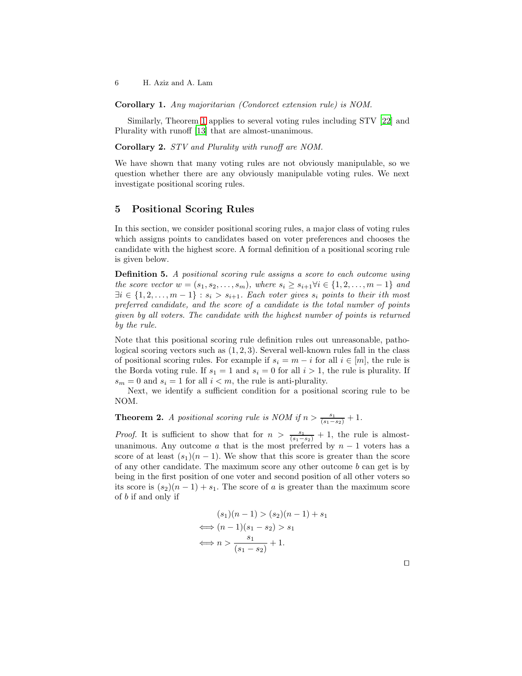Corollary 1. Any majoritarian (Condorcet extension rule) is NOM.

Similarly, Theorem [1](#page-4-1) applies to several voting rules including STV [\[22](#page-15-3)] and Plurality with runoff [\[13\]](#page-14-15) that are almost-unanimous.

Corollary 2. STV and Plurality with runoff are NOM.

We have shown that many voting rules are not obviously manipulable, so we question whether there are any obviously manipulable voting rules. We next investigate positional scoring rules.

### 5 Positional Scoring Rules

In this section, we consider positional scoring rules, a major class of voting rules which assigns points to candidates based on voter preferences and chooses the candidate with the highest score. A formal definition of a positional scoring rule is given below.

Definition 5. A positional scoring rule assigns a score to each outcome using the score vector  $w = (s_1, s_2, \ldots, s_m)$ , where  $s_i \geq s_{i+1} \forall i \in \{1, 2, \ldots, m-1\}$  and  $\exists i \in \{1, 2, \ldots, m-1\} : s_i > s_{i+1}$ . Each voter gives  $s_i$  points to their ith most preferred candidate, and the score of a candidate is the total number of points given by all voters. The candidate with the highest number of points is returned by the rule.

Note that this positional scoring rule definition rules out unreasonable, pathological scoring vectors such as (1, 2, 3). Several well-known rules fall in the class of positional scoring rules. For example if  $s_i = m - i$  for all  $i \in [m]$ , the rule is the Borda voting rule. If  $s_1 = 1$  and  $s_i = 0$  for all  $i > 1$ , the rule is plurality. If  $s_m = 0$  and  $s_i = 1$  for all  $i < m$ , the rule is anti-plurality.

Next, we identify a sufficient condition for a positional scoring rule to be NOM.

**Theorem 2.** A positional scoring rule is NOM if  $n > \frac{s_1}{(s_1 - s_2)} + 1$ .

*Proof.* It is sufficient to show that for  $n > \frac{s_1}{(s_1 - s_2)} + 1$ , the rule is almostunanimous. Any outcome  $a$  that is the most preferred by  $n-1$  voters has a score of at least  $(s_1)(n-1)$ . We show that this score is greater than the score of any other candidate. The maximum score any other outcome  $b$  can get is by being in the first position of one voter and second position of all other voters so its score is  $(s_2)(n-1) + s_1$ . The score of a is greater than the maximum score of b if and only if

$$
(s_1)(n-1) > (s_2)(n-1) + s_1
$$
  

$$
\iff (n-1)(s_1 - s_2) > s_1
$$
  

$$
\iff n > \frac{s_1}{(s_1 - s_2)} + 1.
$$

⊓⊔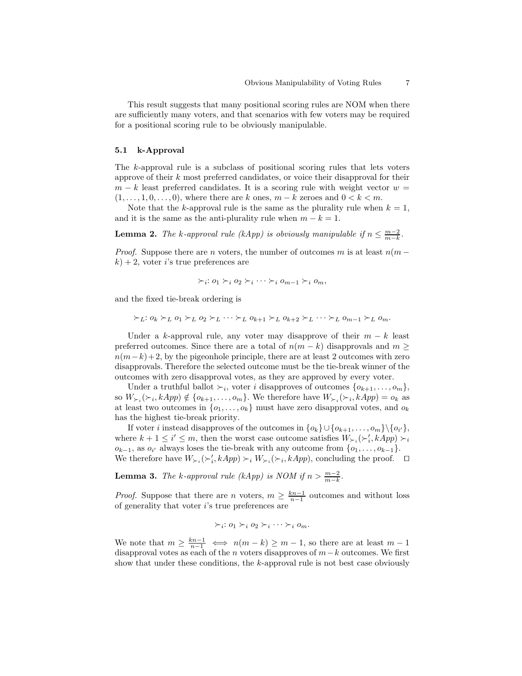This result suggests that many positional scoring rules are NOM when there are sufficiently many voters, and that scenarios with few voters may be required for a positional scoring rule to be obviously manipulable.

#### 5.1 k-Approval

The k-approval rule is a subclass of positional scoring rules that lets voters approve of their k most preferred candidates, or voice their disapproval for their  $m - k$  least preferred candidates. It is a scoring rule with weight vector  $w =$  $(1, \ldots, 1, 0, \ldots, 0)$ , where there are k ones,  $m - k$  zeroes and  $0 < k < m$ .

Note that the k-approval rule is the same as the plurality rule when  $k = 1$ , and it is the same as the anti-plurality rule when  $m - k = 1$ .

**Lemma 2.** The k-approval rule (kApp) is obviously manipulable if  $n \leq \frac{m-2}{m-k}$ .

*Proof.* Suppose there are *n* voters, the number of outcomes m is at least  $n(m (k) + 2$ , voter *i*'s true preferences are

<span id="page-6-0"></span>
$$
\succ_i: o_1 \succ_i o_2 \succ_i \cdots \succ_i o_{m-1} \succ_i o_m,
$$

and the fixed tie-break ordering is

 $\succ_L: o_k \succ_L o_1 \succ_L o_2 \succ_L \cdots \succ_L o_{k+1} \succ_L o_{k+2} \succ_L \cdots \succ_L o_{m-1} \succ_L o_m.$ 

Under a k-approval rule, any voter may disapprove of their  $m - k$  least preferred outcomes. Since there are a total of  $n(m - k)$  disapprovals and  $m \geq$  $n(m-k) + 2$ , by the pigeonhole principle, there are at least 2 outcomes with zero disapprovals. Therefore the selected outcome must be the tie-break winner of the outcomes with zero disapproval votes, as they are approved by every voter.

Under a truthful ballot  $\succ_i$ , voter *i* disapproves of outcomes  $\{o_{k+1}, \ldots, o_m\}$ , so  $W_{\succ_i}(\succ_i, kApp) \notin \{o_{k+1}, \ldots, o_m\}$ . We therefore have  $W_{\succ_i}(\succ_i, kApp) = o_k$  as at least two outcomes in  $\{o_1, \ldots, o_k\}$  must have zero disapproval votes, and  $o_k$ has the highest tie-break priority.

If voter *i* instead disapproves of the outcomes in  $\{o_k\} \cup \{o_{k+1}, \ldots, o_m\} \setminus \{o_{i'}\},\$ where  $k + 1 \leq i' \leq m$ , then the worst case outcome satisfies  $W_{\succ_i}(\succ'_i, kApp) \succ_i$  $o_{k-1}$ , as  $o_{i'}$  always loses the tie-break with any outcome from  $\{o_1, \ldots, o_{k-1}\}.$ We therefore have  $W_{\succ_i}(\succ'_i, kApp) \succ_i W_{\succ_i}(\succ_i, kApp)$ , concluding the proof.  $\Box$ 

<span id="page-6-1"></span>**Lemma 3.** The k-approval rule (kApp) is NOM if  $n > \frac{m-2}{m-k}$ .

*Proof.* Suppose that there are n voters,  $m \geq \frac{kn-1}{n-1}$  outcomes and without loss of generality that voter  $i$ 's true preferences are

$$
\succ_i: o_1 \succ_i o_2 \succ_i \cdots \succ_i o_m.
$$

We note that  $m \geq \frac{kn-1}{n-1} \iff n(m-k) \geq m-1$ , so there are at least  $m-1$ disapproval votes as each of the *n* voters disapproves of  $m-k$  outcomes. We first show that under these conditions, the  $k$ -approval rule is not best case obviously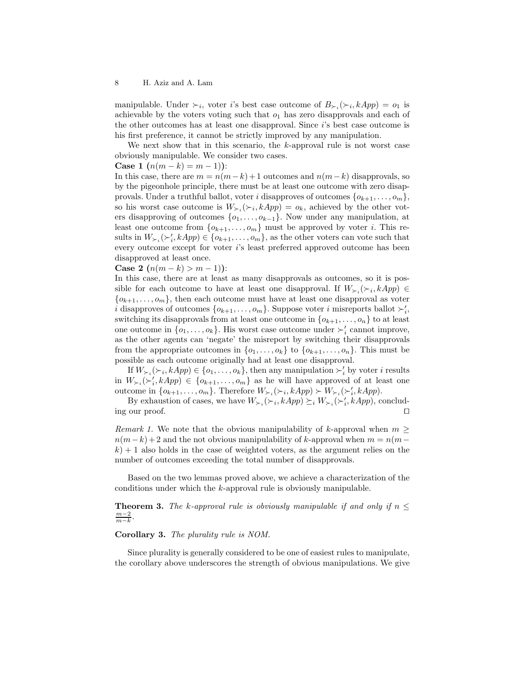manipulable. Under  $\succ_i$ , voter *i*'s best case outcome of  $B_{\succ_i}(\succ_i, kApp) = o_1$  is achievable by the voters voting such that  $o_1$  has zero disapprovals and each of the other outcomes has at least one disapproval. Since i's best case outcome is his first preference, it cannot be strictly improved by any manipulation.

We next show that in this scenario, the k-approval rule is not worst case obviously manipulable. We consider two cases.

### Case 1  $(n(m-k) = m-1)$ :

In this case, there are  $m = n(m-k) + 1$  outcomes and  $n(m-k)$  disapprovals, so by the pigeonhole principle, there must be at least one outcome with zero disapprovals. Under a truthful ballot, voter *i* disapproves of outcomes  $\{o_{k+1}, \ldots, o_m\}$ , so his worst case outcome is  $W_{\succ_i}(\succ_i, kApp) = o_k$ , achieved by the other voters disapproving of outcomes  $\{o_1, \ldots, o_{k-1}\}$ . Now under any manipulation, at least one outcome from  $\{o_{k+1}, \ldots, o_m\}$  must be approved by voter *i*. This results in  $W_{\succ_i}(\succ'_i, kApp) \in \{o_{k+1}, \ldots, o_m\}$ , as the other voters can vote such that every outcome except for voter i's least preferred approved outcome has been disapproved at least once.

### Case 2  $(n(m-k) > m-1)$ :

In this case, there are at least as many disapprovals as outcomes, so it is possible for each outcome to have at least one disapproval. If  $W_{\succ_i}(\succ_i, kApp) \in$  ${o_{k+1}, \ldots, o_m}$ , then each outcome must have at least one disapproval as voter i disapproves of outcomes  $\{o_{k+1}, \ldots, o_m\}$ . Suppose voter i misreports ballot  $\succ'_i$ , switching its disapprovals from at least one outcome in  $\{o_{k+1}, \ldots, o_n\}$  to at least one outcome in  $\{o_1, \ldots, o_k\}$ . His worst case outcome under  $\succ'_i$  cannot improve, as the other agents can 'negate' the misreport by switching their disapprovals from the appropriate outcomes in  $\{o_1, \ldots, o_k\}$  to  $\{o_{k+1}, \ldots, o_n\}$ . This must be possible as each outcome originally had at least one disapproval.

If  $W_{\succ_i}(\succ_i, kApp) \in \{o_1, \ldots, o_k\}$ , then any manipulation  $\succ'_i$  by voter i results in  $W_{\succ_i}(\succ'_i, kApp) \in \{o_{k+1}, \ldots, o_m\}$  as he will have approved of at least one outcome in  $\{o_{k+1}, \ldots, o_m\}$ . Therefore  $W_{\succ_i}(\succ_i, kApp) \succ W_{\succ_i}(\succ'_i, kApp)$ .

By exhaustion of cases, we have  $W_{\succ_i}(\succ_i, kApp) \succeq_i W_{\succ_i}(\succ'_i, kApp)$ , concluding our proof. ⊓⊔

*Remark 1.* We note that the obvious manipulability of k-approval when  $m \geq$  $n(m-k) + 2$  and the not obvious manipulability of k-approval when  $m = n(m$  $k$ ) + 1 also holds in the case of weighted voters, as the argument relies on the number of outcomes exceeding the total number of disapprovals.

<span id="page-7-0"></span>Based on the two lemmas proved above, we achieve a characterization of the conditions under which the k-approval rule is obviously manipulable.

**Theorem 3.** The k-approval rule is obviously manipulable if and only if  $n \leq$  $\frac{m-2}{m-k}$ .

### <span id="page-7-1"></span>Corollary 3. The plurality rule is NOM.

Since plurality is generally considered to be one of easiest rules to manipulate, the corollary above underscores the strength of obvious manipulations. We give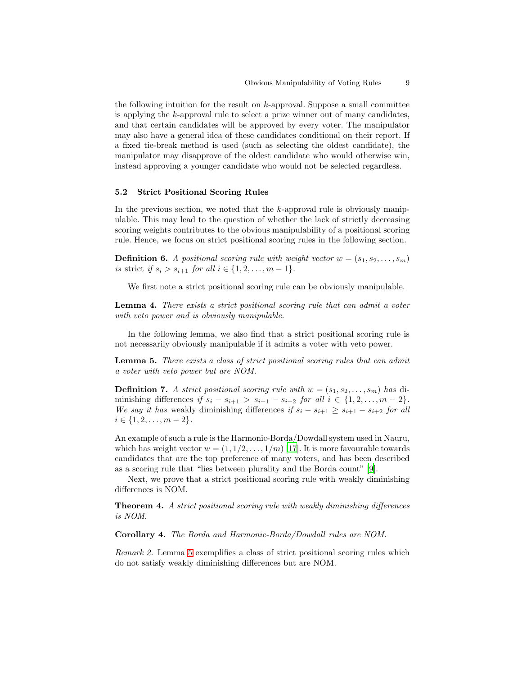the following intuition for the result on k-approval. Suppose a small committee is applying the k-approval rule to select a prize winner out of many candidates, and that certain candidates will be approved by every voter. The manipulator may also have a general idea of these candidates conditional on their report. If a fixed tie-break method is used (such as selecting the oldest candidate), the manipulator may disapprove of the oldest candidate who would otherwise win, instead approving a younger candidate who would not be selected regardless.

### 5.2 Strict Positional Scoring Rules

In the previous section, we noted that the  $k$ -approval rule is obviously manipulable. This may lead to the question of whether the lack of strictly decreasing scoring weights contributes to the obvious manipulability of a positional scoring rule. Hence, we focus on strict positional scoring rules in the following section.

**Definition 6.** A positional scoring rule with weight vector  $w = (s_1, s_2, \ldots, s_m)$ is strict if  $s_i > s_{i+1}$  for all  $i \in \{1, 2, ..., m-1\}$ .

<span id="page-8-1"></span><span id="page-8-0"></span>We first note a strict positional scoring rule can be obviously manipulable.

Lemma 4. There exists a strict positional scoring rule that can admit a voter with veto power and is obviously manipulable.

In the following lemma, we also find that a strict positional scoring rule is not necessarily obviously manipulable if it admits a voter with veto power.

Lemma 5. There exists a class of strict positional scoring rules that can admit a voter with veto power but are NOM.

**Definition 7.** A strict positional scoring rule with  $w = (s_1, s_2, \ldots, s_m)$  has diminishing differences if  $s_i - s_{i+1} > s_{i+1} - s_{i+2}$  for all  $i \in \{1, 2, ..., m-2\}$ . We say it has weakly diminishing differences if  $s_i - s_{i+1} \geq s_{i+1} - s_{i+2}$  for all  $i \in \{1, 2, \ldots, m-2\}.$ 

An example of such a rule is the Harmonic-Borda/Dowdall system used in Nauru, which has weight vector  $w = (1, 1/2, \ldots, 1/m)$  [\[17](#page-14-16)]. It is more favourable towards candidates that are the top preference of many voters, and has been described as a scoring rule that "lies between plurality and the Borda count" [\[9](#page-14-17)].

<span id="page-8-2"></span>Next, we prove that a strict positional scoring rule with weakly diminishing differences is NOM.

Theorem 4. A strict positional scoring rule with weakly diminishing differences is NOM.

Corollary 4. The Borda and Harmonic-Borda/Dowdall rules are NOM.

Remark 2. Lemma [5](#page-8-0) exemplifies a class of strict positional scoring rules which do not satisfy weakly diminishing differences but are NOM.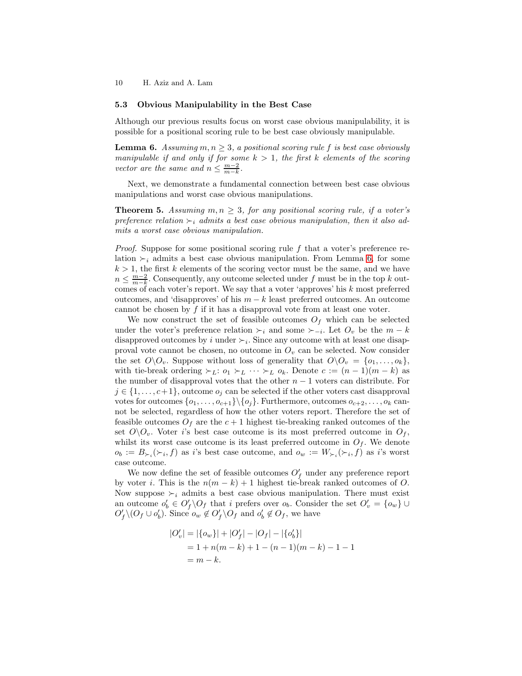### 5.3 Obvious Manipulability in the Best Case

<span id="page-9-0"></span>Although our previous results focus on worst case obvious manipulability, it is possible for a positional scoring rule to be best case obviously manipulable.

**Lemma 6.** Assuming m,  $n > 3$ , a positional scoring rule f is best case obviously manipulable if and only if for some  $k > 1$ , the first k elements of the scoring vector are the same and  $n \leq \frac{m-2}{m-k}$ .

<span id="page-9-1"></span>Next, we demonstrate a fundamental connection between best case obvious manipulations and worst case obvious manipulations.

**Theorem 5.** Assuming  $m, n \geq 3$ , for any positional scoring rule, if a voter's preference relation  $\succ_i$  admits a best case obvious manipulation, then it also admits a worst case obvious manipulation.

*Proof.* Suppose for some positional scoring rule  $f$  that a voter's preference relation  $\succ_i$  admits a best case obvious manipulation. From Lemma [6,](#page-9-0) for some  $k > 1$ , the first k elements of the scoring vector must be the same, and we have  $n \leq \frac{m-2}{m-k}$ . Consequently, any outcome selected under f must be in the top k outcomes of each voter's report. We say that a voter 'approves' his  $k$  most preferred outcomes, and 'disapproves' of his  $m - k$  least preferred outcomes. An outcome cannot be chosen by  $f$  if it has a disapproval vote from at least one voter.

We now construct the set of feasible outcomes  $O_f$  which can be selected under the voter's preference relation  $\succ_i$  and some  $\succ_{-i}$ . Let  $O_v$  be the  $m-k$ disapproved outcomes by i under  $\succ_i$ . Since any outcome with at least one disapproval vote cannot be chosen, no outcome in  $O<sub>v</sub>$  can be selected. Now consider the set  $O\backslash O_v$ . Suppose without loss of generality that  $O\backslash O_v = \{o_1, \ldots, o_k\},\$ with tie-break ordering  $\succ_L: o_1 \succ_L \cdots \succ_L o_k$ . Denote  $c := (n-1)(m-k)$  as the number of disapproval votes that the other  $n-1$  voters can distribute. For  $j \in \{1, \ldots, c+1\}$ , outcome  $o_j$  can be selected if the other voters cast disapproval votes for outcomes  $\{o_1, \ldots, o_{c+1}\}\backslash \{o_j\}$ . Furthermore, outcomes  $o_{c+2}, \ldots, o_k$  cannot be selected, regardless of how the other voters report. Therefore the set of feasible outcomes  $O_f$  are the  $c+1$  highest tie-breaking ranked outcomes of the set  $O\backslash O_v$ . Voter *i*'s best case outcome is its most preferred outcome in  $O_f$ , whilst its worst case outcome is its least preferred outcome in  $O_f$ . We denote  $o_b := B_{\succ_i}(\succ_i, f)$  as i's best case outcome, and  $o_w := W_{\succ_i}(\succ_i, f)$  as i's worst case outcome.

We now define the set of feasible outcomes  $O'_{f}$  under any preference report by voter i. This is the  $n(m - k) + 1$  highest tie-break ranked outcomes of O. Now suppose  $\succ_i$  admits a best case obvious manipulation. There must exist an outcome  $o'_b \in O'_f \backslash O_f$  that i prefers over  $o_b$ . Consider the set  $O'_v = \{o_w\} \cup$  $O_f' \setminus (O_f \cup o'_b)$ . Since  $o_w \notin O_f' \setminus O_f$  and  $o'_b \notin O_f$ , we have

$$
|O'_v| = |\{o_w\}| + |O'_f| - |O_f| - |\{o'_b\}|
$$
  
= 1 + n(m - k) + 1 - (n - 1)(m - k) - 1 - 1  
= m - k.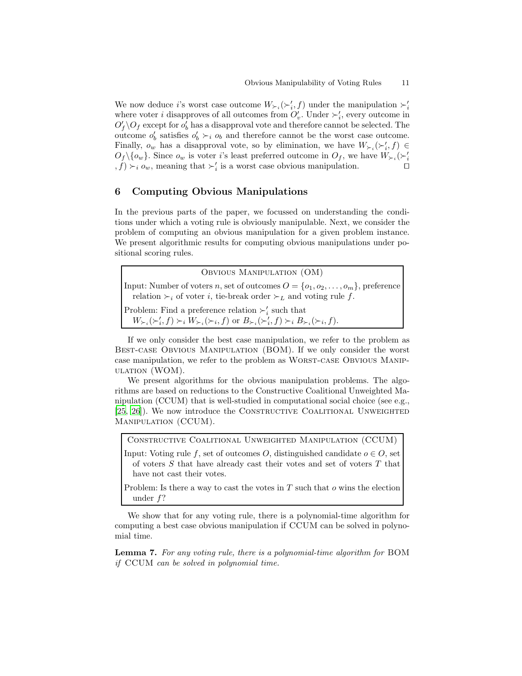We now deduce *i*'s worst case outcome  $W_{\succ_i}(\succ'_i, f)$  under the manipulation  $\succ'_i$ where voter *i* disapproves of all outcomes from  $O'_v$ . Under  $\succ'_i$ , every outcome in  $O_f' \backslash O_f$  except for  $o'_b$  has a disapproval vote and therefore cannot be selected. The outcome  $o'_b$  satisfies  $o'_b \succ_i o_b$  and therefore cannot be the worst case outcome. Finally,  $o_w$  has a disapproval vote, so by elimination, we have  $W_{\succ_i}(\succ'_i, f) \in$  $O_f \setminus \{o_w\}$ . Since  $o_w$  is voter i's least preferred outcome in  $O_f$ , we have  $W_{\succ_i}(\succ'_i)$  $(f) \succ_i o_w$ , meaning that  $\succ'_i$  is a worst case obvious manipulation. □

# 6 Computing Obvious Manipulations

In the previous parts of the paper, we focussed on understanding the conditions under which a voting rule is obviously manipulable. Next, we consider the problem of computing an obvious manipulation for a given problem instance. We present algorithmic results for computing obvious manipulations under positional scoring rules.

Obvious Manipulation (OM) Input: Number of voters n, set of outcomes  $O = \{o_1, o_2, \ldots, o_m\}$ , preference relation  $\succ_i$  of voter i, tie-break order  $\succ_L$  and voting rule f. Problem: Find a preference relation  $\succ_i'$  such that  $W_{\succ_i}(\succ'_i, f) \succ_i W_{\succ_i}(\succ_i, f)$  or  $B_{\succ_i}(\succ'_i, f) \succ_i B_{\succ_i}(\succ_i, f)$ .

If we only consider the best case manipulation, we refer to the problem as Best-case Obvious Manipulation (BOM). If we only consider the worst case manipulation, we refer to the problem as Worst-case Obvious Manip-ULATION (WOM).

We present algorithms for the obvious manipulation problems. The algorithms are based on reductions to the Constructive Coalitional Unweighted Manipulation (CCUM) that is well-studied in computational social choice (see e.g., [\[25,](#page-15-4) [26](#page-15-5)]). We now introduce the Constructive Coalitional Unweighted Manipulation (CCUM).

Constructive Coalitional Unweighted Manipulation (CCUM)

Input: Voting rule f, set of outcomes O, distinguished candidate  $o \in O$ , set of voters  $S$  that have already cast their votes and set of voters  $T$  that have not cast their votes.

Problem: Is there a way to cast the votes in  $T$  such that  $o$  wins the election under f?

We show that for any voting rule, there is a polynomial-time algorithm for computing a best case obvious manipulation if CCUM can be solved in polynomial time.

Lemma 7. For any voting rule, there is a polynomial-time algorithm for BOM if CCUM can be solved in polynomial time.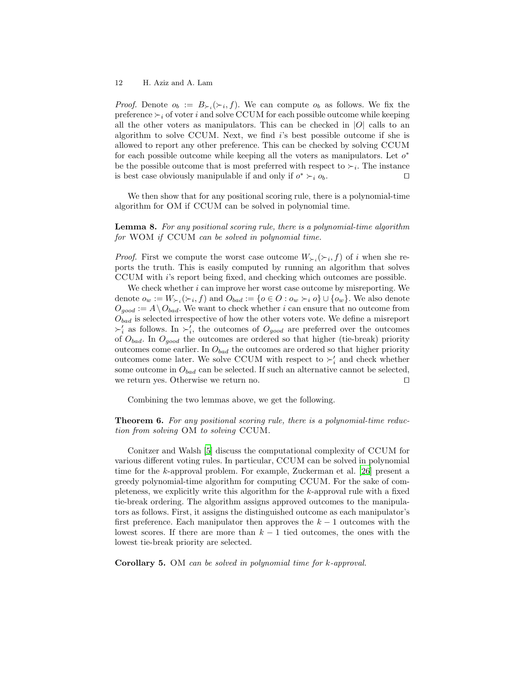*Proof.* Denote  $o_b := B_{\succ_i}(\succ_i, f)$ . We can compute  $o_b$  as follows. We fix the preference  $\succ_i$  of voter i and solve CCUM for each possible outcome while keeping all the other voters as manipulators. This can be checked in  $|O|$  calls to an algorithm to solve CCUM. Next, we find i's best possible outcome if she is allowed to report any other preference. This can be checked by solving CCUM for each possible outcome while keeping all the voters as manipulators. Let  $o^*$ be the possible outcome that is most preferred with respect to  $\succ_i$ . The instance is best case obviously manipulable if and only if  $o^* \succ_i o_b$ .

We then show that for any positional scoring rule, there is a polynomial-time algorithm for OM if CCUM can be solved in polynomial time.

Lemma 8. For any positional scoring rule, there is a polynomial-time algorithm for WOM if CCUM can be solved in polynomial time.

*Proof.* First we compute the worst case outcome  $W_{\succ_i}(\succ_i, f)$  of i when she reports the truth. This is easily computed by running an algorithm that solves CCUM with i's report being fixed, and checking which outcomes are possible.

We check whether  $i$  can improve her worst case outcome by misreporting. We denote  $o_w := W_{\succ_i}(\succ_i, f)$  and  $O_{bad} := \{o \in O : o_w \succ_i o\} \cup \{o_w\}$ . We also denote  $O_{good} := A \backslash O_{bad}$ . We want to check whether i can ensure that no outcome from  $O_{bad}$  is selected irrespective of how the other voters vote. We define a misreport  $\succ'_{i}$  as follows. In  $\succ'_{i}$ , the outcomes of  $O_{good}$  are preferred over the outcomes of  $O_{bad}$ . In  $O_{good}$  the outcomes are ordered so that higher (tie-break) priority outcomes come earlier. In  $O_{bad}$  the outcomes are ordered so that higher priority outcomes come later. We solve CCUM with respect to  $\succ'_{i}$  and check whether some outcome in  $O_{bad}$  can be selected. If such an alternative cannot be selected, we return yes. Otherwise we return no. □

Combining the two lemmas above, we get the following.

Theorem 6. For any positional scoring rule, there is a polynomial-time reduction from solving OM to solving CCUM.

Conitzer and Walsh [\[5\]](#page-14-13) discuss the computational complexity of CCUM for various different voting rules. In particular, CCUM can be solved in polynomial time for the k-approval problem. For example, Zuckerman et al. [\[26](#page-15-5)] present a greedy polynomial-time algorithm for computing CCUM. For the sake of completeness, we explicitly write this algorithm for the k-approval rule with a fixed tie-break ordering. The algorithm assigns approved outcomes to the manipulators as follows. First, it assigns the distinguished outcome as each manipulator's first preference. Each manipulator then approves the  $k-1$  outcomes with the lowest scores. If there are more than  $k-1$  tied outcomes, the ones with the lowest tie-break priority are selected.

Corollary 5. OM can be solved in polynomial time for k-approval.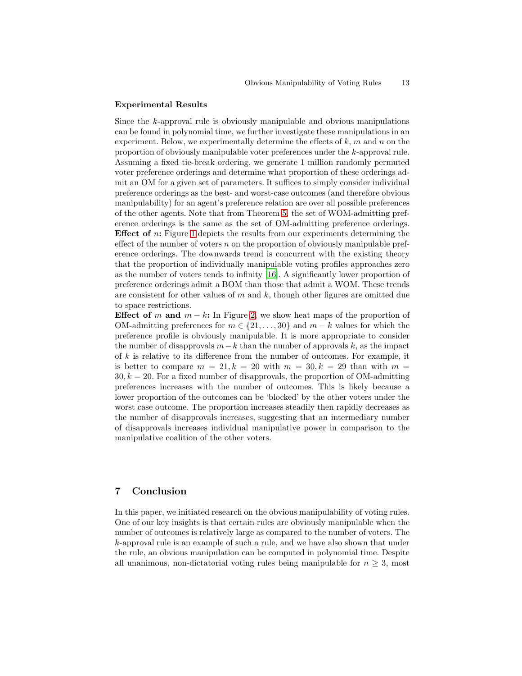### Experimental Results

Since the k-approval rule is obviously manipulable and obvious manipulations can be found in polynomial time, we further investigate these manipulations in an experiment. Below, we experimentally determine the effects of  $k$ ,  $m$  and  $n$  on the proportion of obviously manipulable voter preferences under the k-approval rule. Assuming a fixed tie-break ordering, we generate 1 million randomly permuted voter preference orderings and determine what proportion of these orderings admit an OM for a given set of parameters. It suffices to simply consider individual preference orderings as the best- and worst-case outcomes (and therefore obvious manipulability) for an agent's preference relation are over all possible preferences of the other agents. Note that from Theorem [5,](#page-9-1) the set of WOM-admitting preference orderings is the same as the set of OM-admitting preference orderings. **Effect of**  $n$ : Figure [1](#page-13-0) depicts the results from our experiments determining the effect of the number of voters  $n$  on the proportion of obviously manipulable preference orderings. The downwards trend is concurrent with the existing theory that the proportion of individually manipulable voting profiles approaches zero as the number of voters tends to infinity [\[16\]](#page-14-18). A significantly lower proportion of preference orderings admit a BOM than those that admit a WOM. These trends are consistent for other values of  $m$  and  $k$ , though other figures are omitted due to space restrictions.

Effect of m and  $m - k$ : In Figure [2,](#page-13-1) we show heat maps of the proportion of OM-admitting preferences for  $m \in \{21, \ldots, 30\}$  and  $m - k$  values for which the preference profile is obviously manipulable. It is more appropriate to consider the number of disapprovals  $m-k$  than the number of approvals k, as the impact of  $k$  is relative to its difference from the number of outcomes. For example, it is better to compare  $m = 21, k = 20$  with  $m = 30, k = 29$  than with  $m =$  $30, k = 20$ . For a fixed number of disapprovals, the proportion of OM-admitting preferences increases with the number of outcomes. This is likely because a lower proportion of the outcomes can be 'blocked' by the other voters under the worst case outcome. The proportion increases steadily then rapidly decreases as the number of disapprovals increases, suggesting that an intermediary number of disapprovals increases individual manipulative power in comparison to the manipulative coalition of the other voters.

### 7 Conclusion

In this paper, we initiated research on the obvious manipulability of voting rules. One of our key insights is that certain rules are obviously manipulable when the number of outcomes is relatively large as compared to the number of voters. The k-approval rule is an example of such a rule, and we have also shown that under the rule, an obvious manipulation can be computed in polynomial time. Despite all unanimous, non-dictatorial voting rules being manipulable for  $n \geq 3$ , most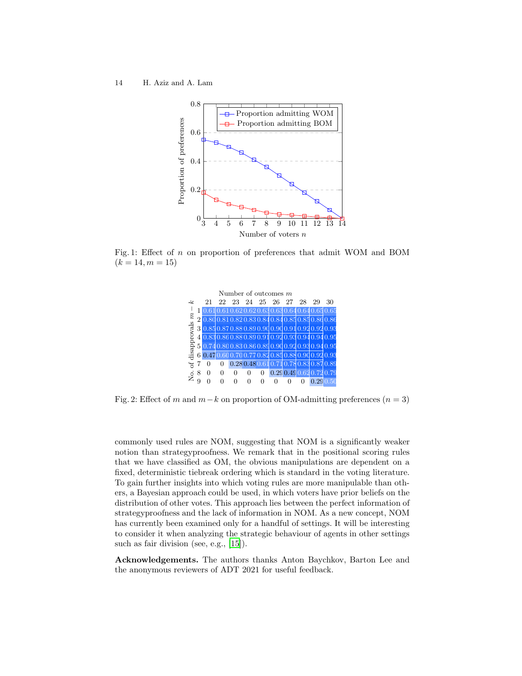<span id="page-13-0"></span>

<span id="page-13-1"></span>Fig. 1: Effect of  $n$  on proportion of preferences that admit WOM and BOM  $(k = 14, m = 15)$ 

|                                            | Number of outcomes $m$ |    |    |    |      |  |                                                     |  |     |          |    |  |  |
|--------------------------------------------|------------------------|----|----|----|------|--|-----------------------------------------------------|--|-----|----------|----|--|--|
|                                            |                        | 21 | 22 | 23 | - 24 |  | 25 26 27                                            |  | -28 | 29       | 30 |  |  |
| $\boldsymbol{\varepsilon}$<br>disapprovals |                        |    |    |    |      |  | $10.610.610.620.620.630.630.640.640.650.65$         |  |     |          |    |  |  |
|                                            |                        |    |    |    |      |  | $20.800.810.820.830.840.840.850.850.860.86$         |  |     |          |    |  |  |
|                                            |                        |    |    |    |      |  | $30.850.870.880.890.900.900.910.920.920.93$         |  |     |          |    |  |  |
|                                            |                        |    |    |    |      |  | 4 0.83 0.86 0.88 0.89 0.91 0.92 0.93 0.94 0.94 0.95 |  |     |          |    |  |  |
|                                            |                        |    |    |    |      |  | 5 0.74 0.80 0.83 0.86 0.89 0.90 0.92 0.93 0.94 0.95 |  |     |          |    |  |  |
|                                            |                        |    |    |    |      |  | 6 0.47 0.60 0.70 0.77 0.82 0.85 0.88 0.90 0.92 0.93 |  |     |          |    |  |  |
| ች                                          |                        | 0  |    |    |      |  | 0.280.480.610.710.780.830.870.89                    |  |     |          |    |  |  |
| $\dot{\circ}$                              |                        |    | 0  | 0  | 0    |  | 0.290.490.620.720.79                                |  |     |          |    |  |  |
|                                            |                        |    |    |    |      |  |                                                     |  |     | 0.290.50 |    |  |  |

Fig. 2: Effect of m and  $m-k$  on proportion of OM-admitting preferences  $(n = 3)$ 

commonly used rules are NOM, suggesting that NOM is a significantly weaker notion than strategyproofness. We remark that in the positional scoring rules that we have classified as OM, the obvious manipulations are dependent on a fixed, deterministic tiebreak ordering which is standard in the voting literature. To gain further insights into which voting rules are more manipulable than others, a Bayesian approach could be used, in which voters have prior beliefs on the distribution of other votes. This approach lies between the perfect information of strategyproofness and the lack of information in NOM. As a new concept, NOM has currently been examined only for a handful of settings. It will be interesting to consider it when analyzing the strategic behaviour of agents in other settings such as fair division (see, e.g., [\[15\]](#page-14-19)).

Acknowledgements. The authors thanks Anton Baychkov, Barton Lee and the anonymous reviewers of ADT 2021 for useful feedback.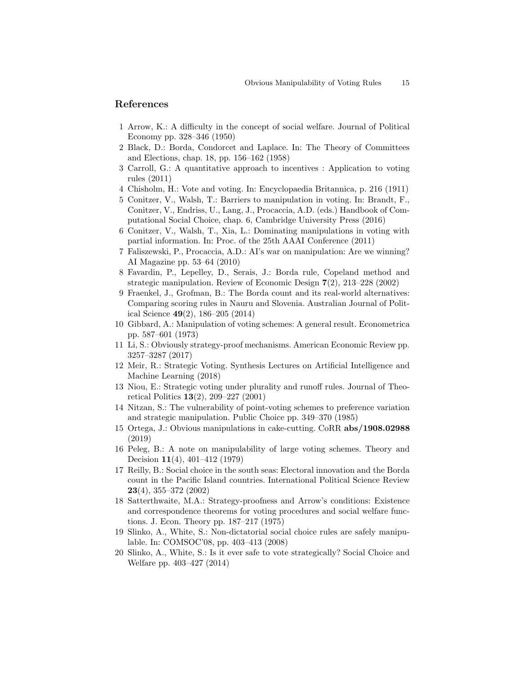### References

- <span id="page-14-2"></span>1 Arrow, K.: A difficulty in the concept of social welfare. Journal of Political Economy pp. 328–346 (1950)
- <span id="page-14-1"></span>2 Black, D.: Borda, Condorcet and Laplace. In: The Theory of Committees and Elections, chap. 18, pp. 156–162 (1958)
- <span id="page-14-6"></span>3 Carroll, G.: A quantitative approach to incentives : Application to voting rules (2011)
- <span id="page-14-0"></span>4 Chisholm, H.: Vote and voting. In: Encyclopaedia Britannica, p. 216 (1911)
- <span id="page-14-13"></span>5 Conitzer, V., Walsh, T.: Barriers to manipulation in voting. In: Brandt, F., Conitzer, V., Endriss, U., Lang, J., Procaccia, A.D. (eds.) Handbook of Computational Social Choice, chap. 6, Cambridge University Press (2016)
- <span id="page-14-10"></span>6 Conitzer, V., Walsh, T., Xia, L.: Dominating manipulations in voting with partial information. In: Proc. of the 25th AAAI Conference (2011)
- <span id="page-14-14"></span>7 Faliszewski, P., Procaccia, A.D.: AI's war on manipulation: Are we winning? AI Magazine pp. 53–64 (2010)
- <span id="page-14-5"></span>8 Favardin, P., Lepelley, D., Serais, J.: Borda rule, Copeland method and strategic manipulation. Review of Economic Design 7(2), 213–228 (2002)
- <span id="page-14-17"></span>9 Fraenkel, J., Grofman, B.: The Borda count and its real-world alternatives: Comparing scoring rules in Nauru and Slovenia. Australian Journal of Political Science 49(2), 186–205 (2014)
- <span id="page-14-3"></span>10 Gibbard, A.: Manipulation of voting schemes: A general result. Econometrica pp. 587–601 (1973)
- <span id="page-14-7"></span>11 Li, S.: Obviously strategy-proof mechanisms. American Economic Review pp. 3257–3287 (2017)
- <span id="page-14-11"></span>12 Meir, R.: Strategic Voting. Synthesis Lectures on Artificial Intelligence and Machine Learning (2018)
- <span id="page-14-15"></span>13 Niou, E.: Strategic voting under plurality and runoff rules. Journal of Theoretical Politics 13(2), 209–227 (2001)
- <span id="page-14-12"></span>14 Nitzan, S.: The vulnerability of point-voting schemes to preference variation and strategic manipulation. Public Choice pp. 349–370 (1985)
- <span id="page-14-19"></span>15 Ortega, J.: Obvious manipulations in cake-cutting. CoRR abs/1908.02988 (2019)
- <span id="page-14-18"></span>16 Peleg, B.: A note on manipulability of large voting schemes. Theory and Decision 11(4), 401–412 (1979)
- <span id="page-14-16"></span>17 Reilly, B.: Social choice in the south seas: Electoral innovation and the Borda count in the Pacific Island countries. International Political Science Review 23(4), 355–372 (2002)
- <span id="page-14-4"></span>18 Satterthwaite, M.A.: Strategy-proofness and Arrow's conditions: Existence and correspondence theorems for voting procedures and social welfare functions. J. Econ. Theory pp. 187–217 (1975)
- <span id="page-14-8"></span>19 Slinko, A., White, S.: Non-dictatorial social choice rules are safely manipulable. In: COMSOC'08, pp. 403–413 (2008)
- <span id="page-14-9"></span>20 Slinko, A., White, S.: Is it ever safe to vote strategically? Social Choice and Welfare pp. 403–427 (2014)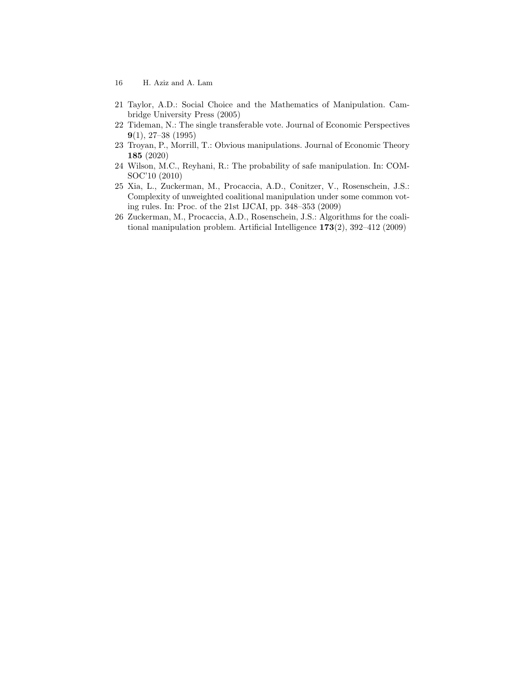- 16 H. Aziz and A. Lam
- <span id="page-15-1"></span>21 Taylor, A.D.: Social Choice and the Mathematics of Manipulation. Cambridge University Press (2005)
- <span id="page-15-3"></span>22 Tideman, N.: The single transferable vote. Journal of Economic Perspectives 9(1), 27–38 (1995)
- <span id="page-15-0"></span>23 Troyan, P., Morrill, T.: Obvious manipulations. Journal of Economic Theory 185 (2020)
- <span id="page-15-2"></span>24 Wilson, M.C., Reyhani, R.: The probability of safe manipulation. In: COM-SOC'10 (2010)
- <span id="page-15-4"></span>25 Xia, L., Zuckerman, M., Procaccia, A.D., Conitzer, V., Rosenschein, J.S.: Complexity of unweighted coalitional manipulation under some common voting rules. In: Proc. of the 21st IJCAI, pp. 348–353 (2009)
- <span id="page-15-5"></span>26 Zuckerman, M., Procaccia, A.D., Rosenschein, J.S.: Algorithms for the coalitional manipulation problem. Artificial Intelligence 173(2), 392–412 (2009)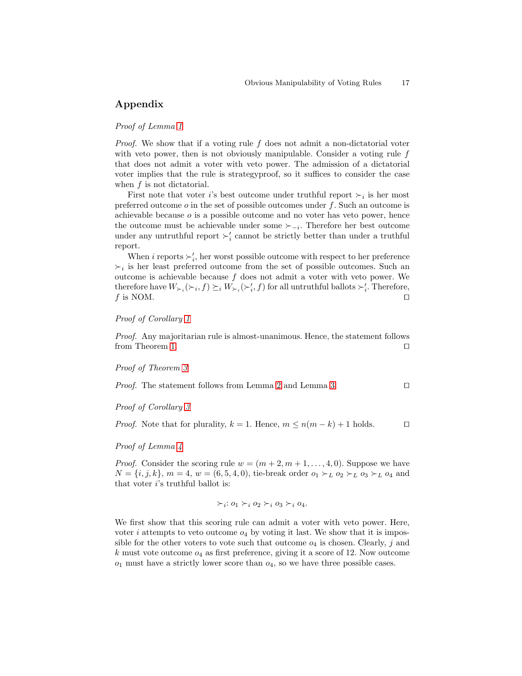## Appendix

### Proof of Lemma [1](#page-4-0)

*Proof.* We show that if a voting rule f does not admit a non-dictatorial voter with veto power, then is not obviously manipulable. Consider a voting rule  $f$ that does not admit a voter with veto power. The admission of a dictatorial voter implies that the rule is strategyproof, so it suffices to consider the case when f is not dictatorial.

First note that voter i's best outcome under truthful report  $\succ_i$  is her most preferred outcome  $o$  in the set of possible outcomes under  $f$ . Such an outcome is achievable because  $o$  is a possible outcome and no voter has veto power, hence the outcome must be achievable under some  $\succ_{-i}$ . Therefore her best outcome under any untruthful report  $\succ'_i$  cannot be strictly better than under a truthful report.

When i reports  $\succ'_{i}$ , her worst possible outcome with respect to her preference  $\succ_i$  is her least preferred outcome from the set of possible outcomes. Such an outcome is achievable because  $f$  does not admit a voter with veto power. We therefore have  $W_{\succ_i}(\succ_i, f) \succeq_i W_{\succ_i}(\succ'_i, f)$  for all untruthful ballots  $\succ'_i$ . Therefore, f is NOM.  $□$ 

### Proof of Corollary [1](#page-4-2)

Proof. Any majoritarian rule is almost-unanimous. Hence, the statement follows from Theorem [1.](#page-4-1) □

#### Proof of Theorem [3](#page-7-0)

*Proof.* The statement follows from Lemma [2](#page-6-0) and Lemma [3.](#page-6-1) □

### Proof of Corollary [3](#page-7-1)

*Proof.* Note that for plurality,  $k = 1$ . Hence,  $m \leq n(m - k) + 1$  holds. □

### Proof of Lemma [4](#page-8-1)

*Proof.* Consider the scoring rule  $w = (m + 2, m + 1, \ldots, 4, 0)$ . Suppose we have  $N = \{i, j, k\}, m = 4, w = (6, 5, 4, 0),$  tie-break order  $o_1 \succ_L o_2 \succ_L o_3 \succ_L o_4$  and that voter  $i$ 's truthful ballot is:

$$
\succ_i: o_1 \succ_i o_2 \succ_i o_3 \succ_i o_4.
$$

We first show that this scoring rule can admit a voter with veto power. Here, voter i attempts to veto outcome  $o_4$  by voting it last. We show that it is impossible for the other voters to vote such that outcome  $o_4$  is chosen. Clearly, j and  $k$  must vote outcome  $o_4$  as first preference, giving it a score of 12. Now outcome  $o_1$  must have a strictly lower score than  $o_4$ , so we have three possible cases.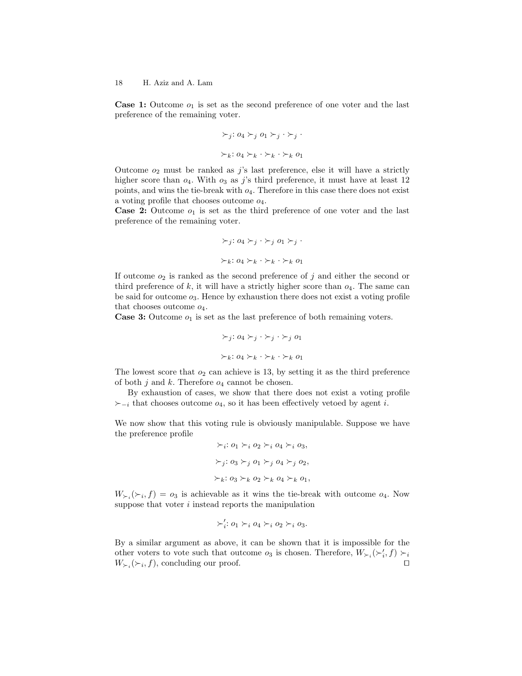**Case 1:** Outcome  $o_1$  is set as the second preference of one voter and the last preference of the remaining voter.

$$
\succ_j : o_4 \succ_j o_1 \succ_j \cdot \succ_j \cdot
$$
  

$$
\succ_k : o_4 \succ_k \cdot \succ_k \cdot \succ_k o_1
$$

Outcome  $o_2$  must be ranked as j's last preference, else it will have a strictly higher score than  $o_4$ . With  $o_3$  as j's third preference, it must have at least 12 points, and wins the tie-break with  $o_4$ . Therefore in this case there does not exist a voting profile that chooses outcome o4.

**Case 2:** Outcome  $o_1$  is set as the third preference of one voter and the last preference of the remaining voter.

$$
\succ_j : o_4 \succ_j \cdot \succ_j o_1 \succ_j \cdot
$$
  

$$
\succ_k : o_4 \succ_k \cdot \succ_k \cdot \succ_k o_1
$$

If outcome  $o_2$  is ranked as the second preference of j and either the second or third preference of  $k$ , it will have a strictly higher score than  $o_4$ . The same can be said for outcome  $o_3$ . Hence by exhaustion there does not exist a voting profile that chooses outcome  $o_4$ .

**Case 3:** Outcome  $o_1$  is set as the last preference of both remaining voters.

$$
\succ_j: o_4 \succ_j \cdot \succ_j \cdot \succ_j o_1
$$
  

$$
\succ_k: o_4 \succ_k \cdot \succ_k \cdot \succ_k o_1
$$

The lowest score that  $o_2$  can achieve is 13, by setting it as the third preference of both j and k. Therefore  $o_4$  cannot be chosen.

By exhaustion of cases, we show that there does not exist a voting profile  $\succ_{-i}$  that chooses outcome  $o_4$ , so it has been effectively vetoed by agent *i*.

We now show that this voting rule is obviously manipulable. Suppose we have the preference profile

$$
\succ_i: o_1 \succ_i o_2 \succ_i o_4 \succ_i o_3,
$$
  

$$
\succ_j: o_3 \succ_j o_1 \succ_j o_4 \succ_j o_2,
$$
  

$$
\succ_k: o_3 \succ_k o_2 \succ_k o_4 \succ_k o_1,
$$

 $W_{\succ_i}(\succ_i, f) = o_3$  is achievable as it wins the tie-break with outcome  $o_4$ . Now suppose that voter  $i$  instead reports the manipulation

$$
\succ'_i: o_1 \succ_i o_4 \succ_i o_2 \succ_i o_3.
$$

By a similar argument as above, it can be shown that it is impossible for the other voters to vote such that outcome  $o_3$  is chosen. Therefore,  $W_{\succ_i}(\succ'_i, f) \succ_i$  $W_{\succ_i}(\succ_i, f)$ , concluding our proof. □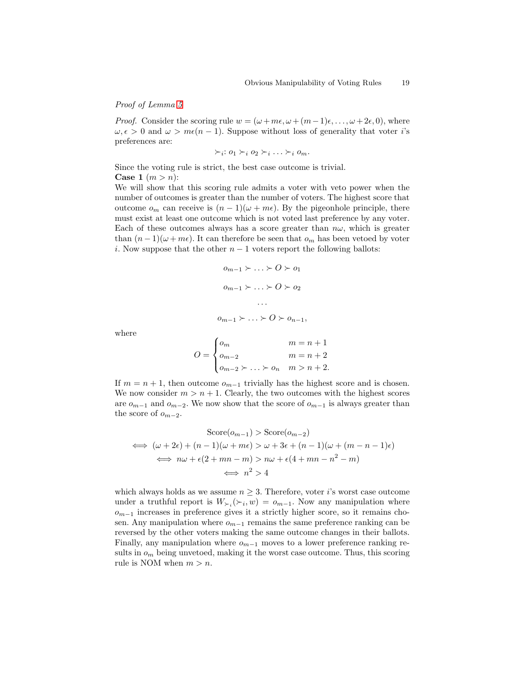### Proof of Lemma [5](#page-8-0)

*Proof.* Consider the scoring rule  $w = (\omega + m\epsilon, \omega + (m-1)\epsilon, \ldots, \omega + 2\epsilon, 0)$ , where  $\omega, \epsilon > 0$  and  $\omega > m\epsilon(n-1)$ . Suppose without loss of generality that voter i's preferences are:

$$
\succ_i: o_1 \succ_i o_2 \succ_i \ldots \succ_i o_m.
$$

Since the voting rule is strict, the best case outcome is trivial. Case 1  $(m > n)$ :

We will show that this scoring rule admits a voter with veto power when the number of outcomes is greater than the number of voters. The highest score that outcome  $o_m$  can receive is  $(n-1)(\omega + m\epsilon)$ . By the pigeonhole principle, there must exist at least one outcome which is not voted last preference by any voter. Each of these outcomes always has a score greater than  $n\omega$ , which is greater than  $(n-1)(\omega+m\epsilon)$ . It can therefore be seen that  $o_m$  has been vetoed by voter i. Now suppose that the other  $n-1$  voters report the following ballots:

$$
o_{m-1} \succ \ldots \succ O \succ o_1
$$

$$
o_{m-1} \succ \ldots \succ O \succ o_2
$$

$$
\ldots
$$

$$
o_{m-1} \succ \ldots \succ O \succ o_{n-1},
$$

where

$$
O = \begin{cases} o_m & m = n + 1 \\ o_{m-2} & m = n + 2 \\ o_{m-2} \succ \ldots \succ o_n & m > n + 2. \end{cases}
$$

If  $m = n + 1$ , then outcome  $o_{m-1}$  trivially has the highest score and is chosen. We now consider  $m > n + 1$ . Clearly, the two outcomes with the highest scores are  $o_{m-1}$  and  $o_{m-2}$ . We now show that the score of  $o_{m-1}$  is always greater than the score of  $o_{m-2}$ .

$$
\begin{aligned}\n\text{Score}(o_{m-1}) &> \text{Score}(o_{m-2}) \\
&\iff (\omega + 2\epsilon) + (n-1)(\omega + m\epsilon) > \omega + 3\epsilon + (n-1)(\omega + (m - n - 1)\epsilon) \\
&\iff n\omega + \epsilon(2 + mn - m) > n\omega + \epsilon(4 + mn - n^2 - m) \\
&\iff n^2 > 4\n\end{aligned}
$$

which always holds as we assume  $n \geq 3$ . Therefore, voter i's worst case outcome under a truthful report is  $W_{\succ_i}(\succ_i, w) = o_{m-1}$ . Now any manipulation where  $o_{m-1}$  increases in preference gives it a strictly higher score, so it remains chosen. Any manipulation where  $o_{m-1}$  remains the same preference ranking can be reversed by the other voters making the same outcome changes in their ballots. Finally, any manipulation where  $o_{m-1}$  moves to a lower preference ranking results in  $o_m$  being unvetoed, making it the worst case outcome. Thus, this scoring rule is NOM when  $m > n$ .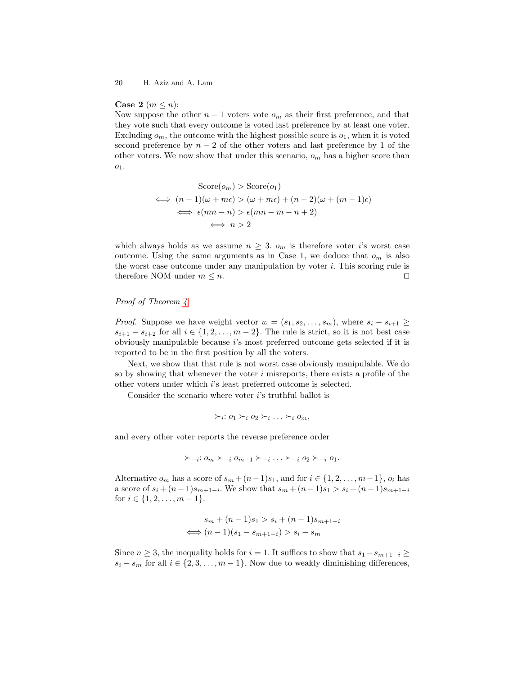#### Case 2  $(m \leq n)$ :

Now suppose the other  $n-1$  voters vote  $o_m$  as their first preference, and that they vote such that every outcome is voted last preference by at least one voter. Excluding  $o_m$ , the outcome with the highest possible score is  $o_1$ , when it is voted second preference by  $n-2$  of the other voters and last preference by 1 of the other voters. We now show that under this scenario,  $o_m$  has a higher score than  $O<sub>1</sub>$ .

$$
\begin{aligned}\n\text{Score}(o_m) > \text{Score}(o_1) \\
&\iff (n-1)(\omega + m\epsilon) > (\omega + m\epsilon) + (n-2)(\omega + (m-1)\epsilon) \\
&\iff \epsilon(mn - n) > \epsilon(mn - m - n + 2) \\
&\iff n > 2\n\end{aligned}
$$

which always holds as we assume  $n \geq 3$ .  $o_m$  is therefore voter i's worst case outcome. Using the same arguments as in Case 1, we deduce that  $o_m$  is also the worst case outcome under any manipulation by voter  $i$ . This scoring rule is therefore NOM under  $m \leq n$ . □

### Proof of Theorem [4](#page-8-2)

*Proof.* Suppose we have weight vector  $w = (s_1, s_2, \ldots, s_m)$ , where  $s_i - s_{i+1} \geq$  $s_{i+1} - s_{i+2}$  for all  $i \in \{1, 2, \ldots, m-2\}$ . The rule is strict, so it is not best case obviously manipulable because i's most preferred outcome gets selected if it is reported to be in the first position by all the voters.

Next, we show that that rule is not worst case obviously manipulable. We do so by showing that whenever the voter  $i$  misreports, there exists a profile of the other voters under which i's least preferred outcome is selected.

Consider the scenario where voter i's truthful ballot is

$$
\succ_i: o_1 \succ_i o_2 \succ_i \ldots \succ_i o_m,
$$

and every other voter reports the reverse preference order

$$
\succ_{-i}: o_m \succ_{-i} o_{m-1} \succ_{-i} \ldots \succ_{-i} o_2 \succ_{-i} o_1.
$$

Alternative  $o_m$  has a score of  $s_m + (n-1)s_1$ , and for  $i \in \{1, 2, \ldots, m-1\}$ ,  $o_i$  has a score of  $s_i + (n-1)s_{m+1-i}$ . We show that  $s_m + (n-1)s_1 > s_i + (n-1)s_{m+1-i}$ for  $i \in \{1, 2, \ldots, m-1\}.$ 

$$
s_m + (n-1)s_1 > s_i + (n-1)s_{m+1-i}
$$
  

$$
\iff (n-1)(s_1 - s_{m+1-i}) > s_i - s_m
$$

Since  $n \geq 3$ , the inequality holds for  $i = 1$ . It suffices to show that  $s_1 - s_{m+1-i} \geq$  $s_i - s_m$  for all  $i \in \{2, 3, \ldots, m-1\}$ . Now due to weakly diminishing differences,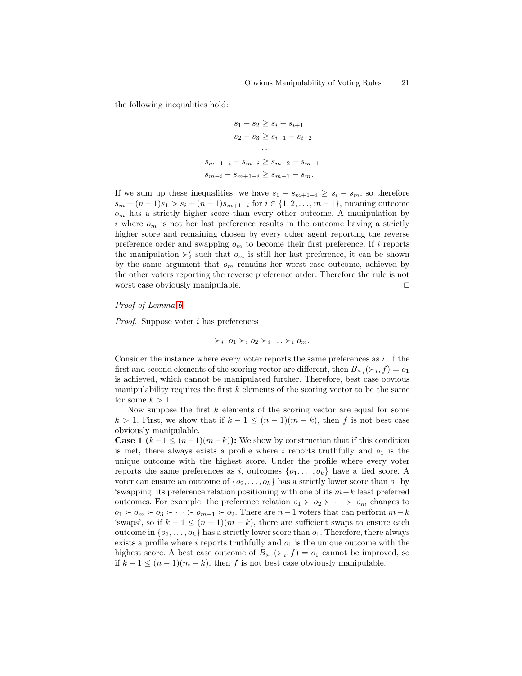the following inequalities hold:

$$
s_1 - s_2 \ge s_i - s_{i+1}
$$
  
\n
$$
s_2 - s_3 \ge s_{i+1} - s_{i+2}
$$
  
\n...  
\n
$$
s_{m-1-i} - s_{m-i} \ge s_{m-2} - s_{m-1}
$$
  
\n
$$
s_{m-i} - s_{m+1-i} \ge s_{m-1} - s_m.
$$

If we sum up these inequalities, we have  $s_1 - s_{m+1-i} \geq s_i - s_m$ , so therefore  $s_m + (n-1)s_1 > s_i + (n-1)s_{m+1-i}$  for  $i \in \{1, 2, ..., m-1\}$ , meaning outcome  $o<sub>m</sub>$  has a strictly higher score than every other outcome. A manipulation by i where  $o_m$  is not her last preference results in the outcome having a strictly higher score and remaining chosen by every other agent reporting the reverse preference order and swapping  $o_m$  to become their first preference. If i reports the manipulation  $\succ'_{i}$  such that  $o_m$  is still her last preference, it can be shown by the same argument that  $o_m$  remains her worst case outcome, achieved by the other voters reporting the reverse preference order. Therefore the rule is not worst case obviously manipulable. ⊓⊔

### Proof of Lemma [6](#page-9-0)

Proof. Suppose voter i has preferences

$$
\succ_i: o_1 \succ_i o_2 \succ_i \ldots \succ_i o_m.
$$

Consider the instance where every voter reports the same preferences as  $i$ . If the first and second elements of the scoring vector are different, then  $B_{\succ i}(\succ_i, f) = o_1$ is achieved, which cannot be manipulated further. Therefore, best case obvious manipulability requires the first  $k$  elements of the scoring vector to be the same for some  $k > 1$ .

Now suppose the first  $k$  elements of the scoring vector are equal for some  $k > 1$ . First, we show that if  $k - 1 \leq (n - 1)(m - k)$ , then f is not best case obviously manipulable.

**Case 1**  $(k-1 \leq (n-1)(m-k))$ : We show by construction that if this condition is met, there always exists a profile where  $i$  reports truthfully and  $o_1$  is the unique outcome with the highest score. Under the profile where every voter reports the same preferences as i, outcomes  $\{o_1, \ldots, o_k\}$  have a tied score. A voter can ensure an outcome of  $\{o_2, \ldots, o_k\}$  has a strictly lower score than  $o_1$  by 'swapping' its preference relation positioning with one of its  $m-k$  least preferred outcomes. For example, the preference relation  $o_1 \succ o_2 \succ \cdots \succ o_m$  changes to  $o_1 \succ o_m \succ o_3 \succ \cdots \succ o_{m-1} \succ o_2$ . There are  $n-1$  voters that can perform  $m-k$ 'swaps', so if  $k - 1 \leq (n - 1)(m - k)$ , there are sufficient swaps to ensure each outcome in  $\{o_2, \ldots, o_k\}$  has a strictly lower score than  $o_1$ . Therefore, there always exists a profile where i reports truthfully and  $o_1$  is the unique outcome with the highest score. A best case outcome of  $B_{\succ_i}(\succ_i, f) = o_1$  cannot be improved, so if  $k-1 \leq (n-1)(m-k)$ , then f is not best case obviously manipulable.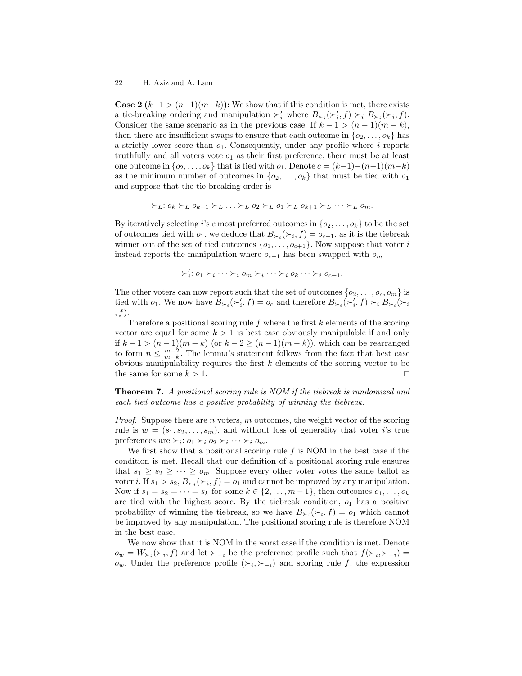**Case 2**  $(k-1 > (n-1)(m-k))$ : We show that if this condition is met, there exists a tie-breaking ordering and manipulation  $\succ_i'$  where  $B_{\succ_i}(\succ_i', f) \succ_i B_{\succ_i}(\succ_i, f)$ . Consider the same scenario as in the previous case. If  $k - 1 > (n - 1)(m - k)$ , then there are insufficient swaps to ensure that each outcome in  $\{o_2, \ldots, o_k\}$  has a strictly lower score than  $o_1$ . Consequently, under any profile where i reports truthfully and all voters vote  $o_1$  as their first preference, there must be at least one outcome in  $\{o_2, \ldots, o_k\}$  that is tied with  $o_1$ . Denote  $c = (k-1)-(n-1)(m-k)$ as the minimum number of outcomes in  $\{o_2, \ldots, o_k\}$  that must be tied with  $o_1$ and suppose that the tie-breaking order is

$$
\succ_L: o_k \succ_L o_{k-1} \succ_L \ldots \succ_L o_2 \succ_L o_1 \succ_L o_{k+1} \succ_L \cdots \succ_L o_m.
$$

By iteratively selecting i's c most preferred outcomes in  $\{o_2, \ldots, o_k\}$  to be the set of outcomes tied with  $o_1$ , we deduce that  $B_{\succ i}(\succ_i, f) = o_{c+1}$ , as it is the tiebreak winner out of the set of tied outcomes  $\{o_1, \ldots, o_{c+1}\}$ . Now suppose that voter i instead reports the manipulation where  $o_{c+1}$  has been swapped with  $o_m$ 

$$
\succ_i': o_1 \succ_i \cdots \succ_i o_m \succ_i \cdots \succ_i o_k \cdots \succ_i o_{c+1}.
$$

The other voters can now report such that the set of outcomes  $\{o_2, \ldots, o_c, o_m\}$  is tied with  $o_1$ . We now have  $B_{\succ_i}(\succ'_i, f) = o_c$  and therefore  $B_{\succ_i}(\succ'_i, f) \succ_i B_{\succ_i}(\succ_i$ , f).

Therefore a positional scoring rule  $f$  where the first  $k$  elements of the scoring vector are equal for some  $k > 1$  is best case obviously manipulable if and only if  $k-1$  >  $(n-1)(m-k)$  (or  $k-2 \ge (n-1)(m-k)$ ), which can be rearranged to form  $n \leq \frac{m-2}{m-k}$ . The lemma's statement follows from the fact that best case obvious manipulability requires the first  $k$  elements of the scoring vector to be the same for some  $k > 1$ . □

Theorem 7. A positional scoring rule is NOM if the tiebreak is randomized and each tied outcome has a positive probability of winning the tiebreak.

*Proof.* Suppose there are *n* voters, *m* outcomes, the weight vector of the scoring rule is  $w = (s_1, s_2, \ldots, s_m)$ , and without loss of generality that voter *i*'s true preferences are  $\succ_i: o_1 \succ_i o_2 \succ_i \cdots \succ_i o_m$ .

We first show that a positional scoring rule  $f$  is NOM in the best case if the condition is met. Recall that our definition of a positional scoring rule ensures that  $s_1 \geq s_2 \geq \cdots \geq s_m$ . Suppose every other voter votes the same ballot as voter *i*. If  $s_1 > s_2$ ,  $B_{\succ_i}(\succ_i, f) = o_1$  and cannot be improved by any manipulation. Now if  $s_1 = s_2 = \cdots = s_k$  for some  $k \in \{2, \ldots, m-1\}$ , then outcomes  $o_1, \ldots, o_k$ are tied with the highest score. By the tiebreak condition,  $o_1$  has a positive probability of winning the tiebreak, so we have  $B_{\succ_i}(\succ_i, f) = o_1$  which cannot be improved by any manipulation. The positional scoring rule is therefore NOM in the best case.

We now show that it is NOM in the worst case if the condition is met. Denote  $o_w = W_{\succ_i}(\succ_i, f)$  and let  $\succ_{-i}$  be the preference profile such that  $f(\succ_i, \succ_{-i}) =$  $o_w$ . Under the preference profile  $(\succ_i, \succ_{-i})$  and scoring rule f, the expression